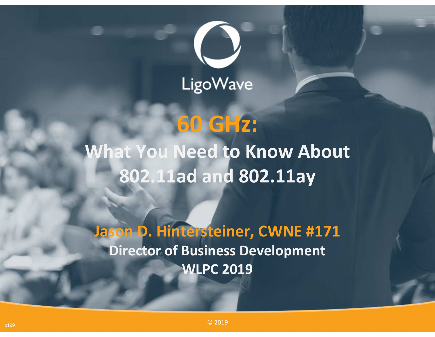

# **60 GHz:**

## **What You Need to Know About 802.11ad and 802.11ay**

**Jason D. Hintersteiner, CWNE #171Director of Business DevelopmentWLPC 2019**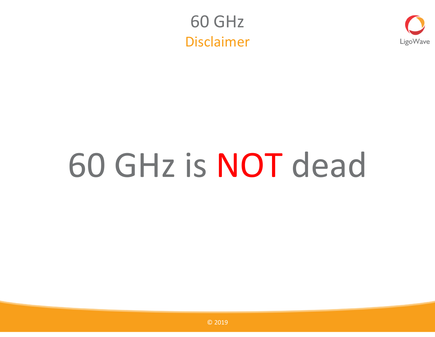



# 60 GHz is NOT dead

© <sup>2019</sup>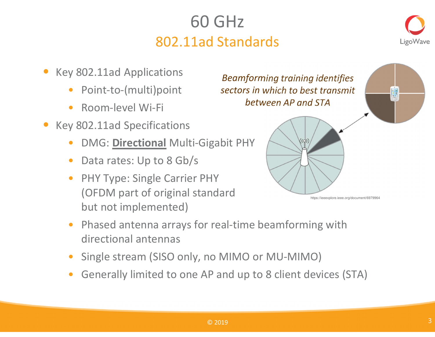## 60 GHz802.11ad Standards



- • Key 802.11ad Applications
	- •Point-to-(multi)point
	- •Room-level Wi-Fi
- • Key 802.11ad Specifications
	- •DMG: **Directional** Multi-Gigabit PHY
	- •Data rates: Up to 8 Gb/s
	- $\bullet$  PHY Type: Single Carrier PHY (OFDM part of original standard but not implemented)

*Beamforming training identifies sectors in which to best transmit between AP and STA*



- $\bullet$  Phased antenna arrays for real-time beamforming with directional antennas
- •Single stream (SISO only, no MIMO or MU-MIMO)
- •Generally limited to one AP and up to 8 client devices (STA)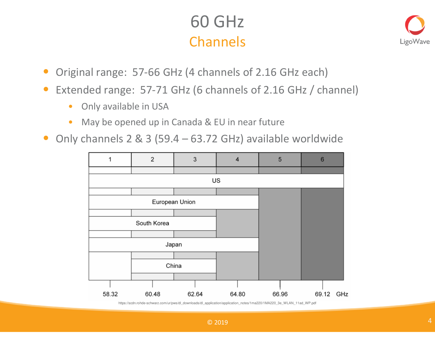## 60 GHzChannels



- $\bullet$ Original range: 57-66 GHz (4 channels of 2.16 GHz each)
- $\bullet$  Extended range: 57-71 GHz (6 channels of 2.16 GHz / channel)
	- $\bullet$ Only available in USA
	- $\bullet$ May be opened up in Canada & EU in near future
- $\bullet$ Only channels 2 & 3 (59.4 – 63.72 GHz) available worldwide



https://scdn.rohde-schwarz.com/ur/pws/dl\_downloads/dl\_application/application\_notes/1ma220/1MA220\_3e\_WLAN\_11ad\_WP.pdf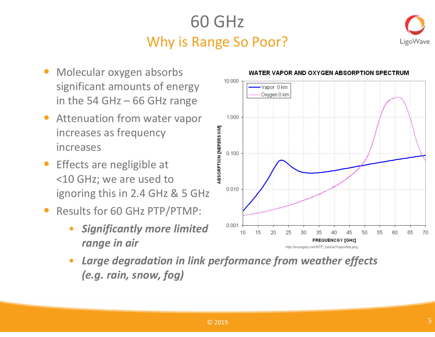## 60 GHzWhy is Range So Poor?



- $\bullet$  Molecular oxygen absorbs significant amounts of energyin the 54 GHz – 66 GHz range
- • Attenuation from water vapor increases as frequency increases
- Effects are negligible at <10 GHz; we are used toignoring this in 2.4 GHz & 5 GHz
- • Results for 60 GHz PTP/PTMP:
	- • *Significantly more limited range in air*



• *Large degradation in link performance from weather effects (e.g. rain, snow, fog)*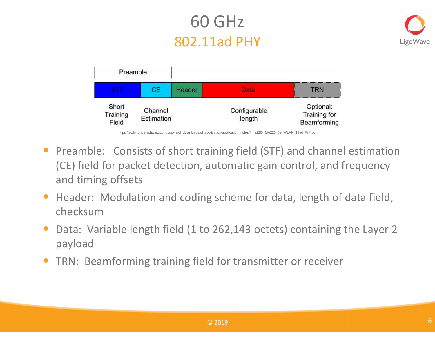## 60 GHz802.11ad PHY





• Preamble: Consists of short training field (STF) and channel estimation (CE) field for packet detection, automatic gain control, and frequency and timing offsets

- $\bullet$  Header: Modulation and coding scheme for data, length of data field, checksum
- Data: Variable length field (1 to 262,143 octets) containing the Layer 2 •payload
- $\bullet$ TRN: Beamforming training field for transmitter or receiver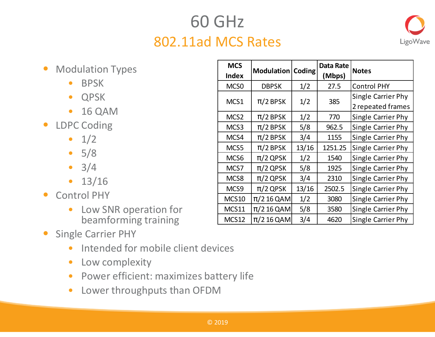## 60 GHz802.11ad MCS Rates



- $\bullet$  Modulation Types
	- •BPSK
	- QPSK
	- 16 QAM  $\bullet$
- LDPC Coding
	- $1/2$
	- 5/8
	- 3/4
	- 13/16
- Control PHY  $\bullet$ 
	- $\bullet$  Low SNR operation for beamforming training
- $\bullet$  Single Carrier PHY
	- Intended for mobile client devices
	- $\bullet$ Low complexity
	- Power efficient: maximizes battery life
	- $\bullet$ Lower throughputs than OFDM

| <b>MCS</b><br><b>Index</b> | Modulation     | Coding | Data Rate<br>(Mbps) | <b>Notes</b>                            |  |
|----------------------------|----------------|--------|---------------------|-----------------------------------------|--|
| MCS <sub>0</sub>           | <b>DBPSK</b>   | 1/2    | 27.5                | <b>Control PHY</b>                      |  |
| MCS1                       | $\pi/2$ BPSK   | 1/2    | 385                 | Single Carrier Phy<br>2 repeated frames |  |
| MCS <sub>2</sub>           | $\pi/2$ BPSK   | 1/2    | 770                 | Single Carrier Phy                      |  |
| MCS3                       | $\pi/2$ BPSK   | 5/8    | 962.5               | Single Carrier Phy                      |  |
| MCS4                       | $\pi/2$ BPSK   | 3/4    | 1155                | Single Carrier Phy                      |  |
| MCS5                       | $\pi/2$ BPSK   | 13/16  | 1251.25             | Single Carrier Phy                      |  |
| MCS6                       | $\pi/2$ QPSK   | 1/2    | 1540                | Single Carrier Phy                      |  |
| MCS7                       | $\pi/2$ QPSK   | 5/8    | 1925                | Single Carrier Phy                      |  |
| MCS8                       | $\pi/2$ QPSK   | 3/4    | 2310                | Single Carrier Phy                      |  |
| MCS9                       | $\pi/2$ QPSK   | 13/16  | 2502.5              | Single Carrier Phy                      |  |
| <b>MCS10</b>               | $\pi/2$ 16 QAM | 1/2    | 3080                | Single Carrier Phy                      |  |
| MCS11                      | $\pi/2$ 16 QAM | 5/8    | 3580                | Single Carrier Phy                      |  |
| <b>MCS12</b>               | $\pi/2$ 16 QAM | 3/4    | 4620                | Single Carrier Phy                      |  |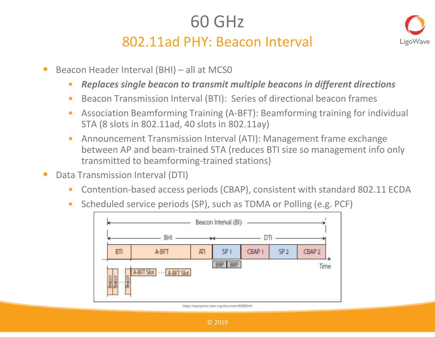## 60 GHz

#### 802.11ad PHY: Beacon Interval



- • Beacon Header Interval (BHI) – all at MCS0
	- •*Replaces single beacon to transmit multiple beacons in different directions*
	- $\bullet$ Beacon Transmission Interval (BTI): Series of directional beacon frames
	- $\bullet$  Association Beamforming Training (A-BFT): Beamforming training for individual STA (8 slots in 802.11ad, 40 slots in 802.11ay)
	- $\bullet$  Announcement Transmission Interval (ATI): Management frame exchange between AP and beam-trained STA (reduces BTI size so management info only transmitted to beamforming-trained stations)
- • Data Transmission Interval (DTI)
	- •Contention-based access periods (CBAP), consistent with standard 802.11 ECDA
	- •Scheduled service periods (SP), such as TDMA or Polling (e.g. PCF)



https://ieeexplore.ieee.org/document/8088544

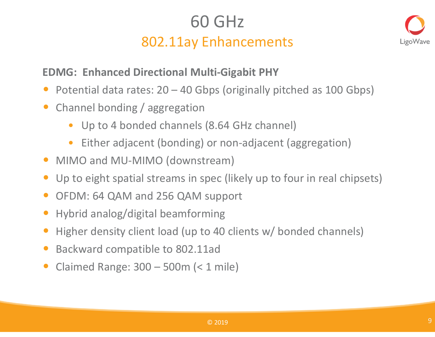## 60 GHz802.11ay Enhancements



#### **EDMG: Enhanced Directional Multi-Gigabit PHY**

- •Potential data rates: 20 – 40 Gbps (originally pitched as 100 Gbps)
- $\bullet$  Channel bonding / aggregation
	- Up to 4 bonded channels (8.64 GHz channel)
	- $\bullet$ Either adjacent (bonding) or non-adjacent (aggregation)
- MIMO and MU-MIMO (downstream)
- Up to eight spatial streams in spec (likely up to four in real chipsets)
- $\bullet$ OFDM: 64 QAM and 256 QAM support
- $\bullet$ Hybrid analog/digital beamforming
- •Higher density client load (up to 40 clients w/ bonded channels)
- •Backward compatible to 802.11ad
- $\bullet$ Claimed Range: 300 – 500m (< 1 mile)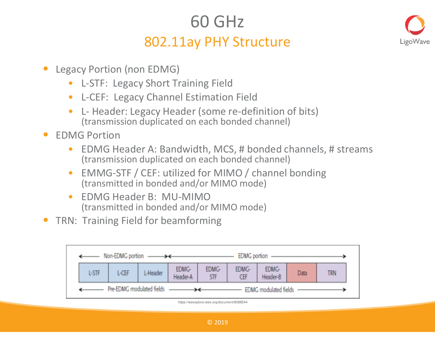## 60 GHz

#### 802.11ay PHY Structure



- • Legacy Portion (non EDMG)
	- •L-STF: Legacy Short Training Field
	- $\bullet$ L-CEF: Legacy Channel Estimation Field
	- $\bullet$  L- Header: Legacy Header (some re-definition of bits) (transmission duplicated on each bonded channel)
- $\bullet$  EDMG Portion
	- • EDMG Header A: Bandwidth, MCS, # bonded channels, # streams (transmission duplicated on each bonded channel)
	- $\bullet$  EMMG-STF / CEF: utilized for MIMO / channel bonding (transmitted in bonded and/or MIMO mode)
	- • EDMG Header B: MU-MIMO(transmitted in bonded and/or MIMO mode)
- •TRN: Training Field for beamforming

| Non-EDMG portion $\longrightarrow$<br><b>EDMG</b> portion |                           |       |          |                       |                     |                     |                   |      |     |
|-----------------------------------------------------------|---------------------------|-------|----------|-----------------------|---------------------|---------------------|-------------------|------|-----|
|                                                           | <b>L-STF</b>              | L-CEF | L-Header | EDMG-<br>Header-A     | EDMG-<br><b>STF</b> | EDMG-<br><b>CEF</b> | EDMG-<br>Header-B | Data | trn |
|                                                           | Pre-EDMG modulated fields |       |          | EDMG modulated fields |                     |                     |                   |      |     |

https://ieeexplore.ieee.org/document/8088544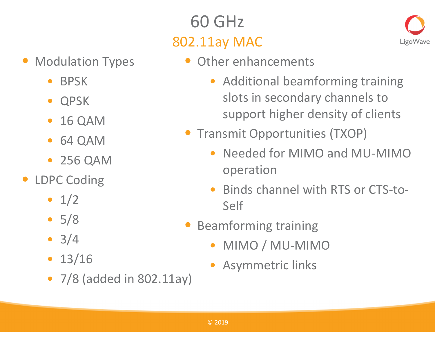## 60 GHz802.11ay MAC



- • Modulation Types
	- $\bullet$ BPSK
	- $\bullet$ QPSK
	- $\bullet$ 16 QAM
	- 64 QAM $\bullet$
	- 256 QAM
- • LDPC Coding
	- $1/2$
	- 5/8
	- $3/4$
	- 13/16
	- 7/8 (added in 802.11ay)
- Other enhancements
	- $\bullet$  Additional beamforming training slots in secondary channels to support higher density of clients
- Transmit Opportunities (TXOP)
	- • Needed for MIMO and MU-MIMO operation
	- $\bullet$  Binds channel with RTS or CTS-to-Self
- $\bullet$  Beamforming training
	- MIMO / MU-MIMO
	- •Asymmetric links